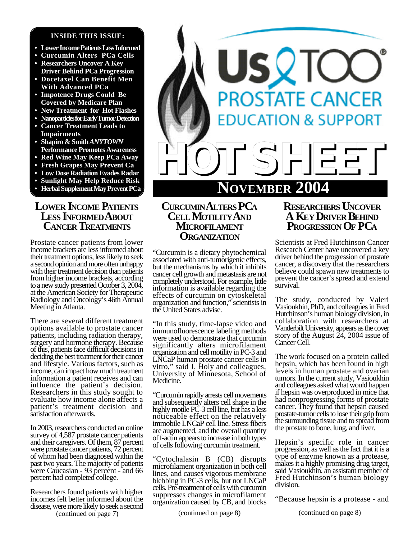#### **INSIDE THIS ISSUE:**

- **• Lower Income Patients Less Informed**
- **• Curcumin Alters PCa Cells**
- **• Researchers Uncover A Key Driver Behind PCa Progression**
- **• Docetaxel Can Benefit Men With Advanced PCa**
- **• Impotence Drugs Could Be Covered by Medicare Plan**
- **• New Treatment for Hot Flashes**
- **• Nanoparticles for Early Tumor Detection**
- **• Cancer Treatment Leads to Impairments**
- **• Shapiro & Smith** *ANYTOWN* **Performance Promotes Awareness**
- **• Red Wine May Keep PCa Away**
- **• Fresh Grapes May Prevent Ca**
- **• Low Dose Radiation Evades Radar**
- **• Sunlight May Help Reduce Risk**
- **• Herbal Supplement May Prevent PCa**

## **LOWER INCOME PATIENTS LESS INFORMEDABOUT CANCER TREATMENTS**

Prostate cancer patients from lower income brackets are less informed about their treatment options, less likely to seek a second opinion and more often unhappy with their treatment decision than patients from higher income brackets, according to a new study presented October 3, 2004, at the American Society for Therapeutic Radiology and Oncology's 46th Annual Meeting in Atlanta.

There are several different treatment options available to prostate cancer patients, including radiation therapy, surgery and hormone therapy. Because of this, patients face difficult decisions in deciding the best treatment for their cancer and lifestyle. Various factors, such as income, can impact how much treatment information a patient receives and can influence the patient's decision. Researchers in this study sought to evaluate how income alone affects a patient's treatment decision and satisfaction afterwards.

In 2003, researchers conducted an online survey of 4,587 prostate cancer patients and their caregivers. Of them, 87 percent were prostate cancer patients, 72 percent of whom had been diagnosed within the past two years. The majority of patients were Caucasian - 93 percent - and 66 percent had completed college.

(continued on page 7) Researchers found patients with higher incomes felt better informed about the disease, were more likely to seek a second



## **CURCUMINALTERS PC<sup>A</sup> CELL MOTILITYAND MICROFILAMENT ORGANIZATION**

"Curcumin is a dietary phytochemical associated with anti-tumorigenic effects, but the mechanisms by which it inhibits cancer cell growth and metastasis are not completely understood. For example, little information is available regarding the effects of curcumin on cytoskeletal organization and function," scientists in the United States advise.

"In this study, time-lapse video and immunofluorescence labeling methods were used to demonstrate that curcumin significantly alters microfilament organization and cell motility in PC-3 and LNCaP human prostate cancer cells in vitro," said J. Holy and colleagues, University of Minnesota, School of Medicine.

"Curcumin rapidly arrests cell movements and subsequently alters cell shape in the highly motile PC-3 cell line, but has a less noticeable effect on the relatively immobile LNCaP cell line. Stress fibers are augmented, and the overall quantity of f-actin appears to increase in both types of cells following curcumin treatment.

"Cytochalasin B (CB) disrupts microfilament organization in both cell lines, and causes vigorous membrane blebbing in PC-3 cells, but not LNCaP cells. Pre-treatment of cells with curcumin suppresses changes in microfilament organization caused by CB, and blocks

## **RESEARCHERS UNCOVER A KEY DRIVER BEHIND PROGRESSION OF PC<sup>A</sup>**

Scientists at Fred Hutchinson Cancer Research Center have uncovered a key driver behind the progression of prostate cancer, a discovery that the researchers believe could spawn new treatments to prevent the cancer's spread and extend survival.

The study, conducted by Valeri Vasioukhin, PhD, and colleagues in Fred Hutchinson's human biology division, in collaboration with researchers at Vanderbilt University, appears as the cover story of the August 24, 2004 issue of Cancer Cell.

The work focused on a protein called hepsin, which has been found in high levels in human prostate and ovarian tumors. In the current study, Vasioukhin and colleagues asked what would happen if hepsin was overproduced in mice that had nonprogressing forms of prostate cancer. They found that hepsin caused prostate-tumor cells to lose their grip from the surrounding tissue and to spread from the prostate to bone, lung, and liver.

Hepsin's specific role in cancer progression, as well as the fact that it is a type of enzyme known as a protease, makes it a highly promising drug target, said Vasioukhin, an assistant member of Fred Hutchinson's human biology division.

"Because hepsin is a protease - and

(continued on page 8) (continued on page 8)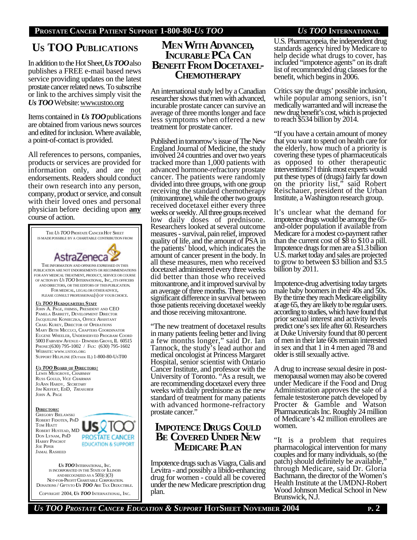# **US TOO PUBLICATIONS**

In addition to the Hot Sheet, *Us TOO*also publishes a FREE e-mail based news service providing updates on the latest prostate cancer related news. To subscribe or link to the archives simply visit the *Us TOO* Website: www.ustoo.org

Items contained in *Us TOO*publications are obtained from various news sources and edited for inclusion. Where available, a point-of-contact is provided.

All references to persons, companies, products or services are provided for information only, and are not endorsements. Readers should conduct their own research into any person, company, product or service, and consult with their loved ones and personal physician before deciding upon **any** course of action.

THE *US TOO* PROSTATE CANCER HOT SHEET IS MADEPOSSIBLE BY A CHARITABLE CONTRIBUTION FROM AstraZeneca THE INFORMATION AND OPINIONS EXPRESSED IN THIS PUBLICATION ARE NOT ENDORSEMENTS OR RECOMMENDATIONS FOR ANY MEDICAL TREATMENT, PRODUCT, SERVICE OR COURSE OF ACTION BY *US TOO* INTERNATIONAL, INC., ITS OFFICERS AND DIRECTORS, OR THE EDITORS OF THISPUBLICATION. FOR MEDICAL, LEGALOR OTHER ADVICE, PLEASE CONSULT PROFESSIONAL(S) OF YOURCHOICE. *U<sup>S</sup> TOO* **HEADQUARTERS STAFF** JOHN A. PAGE, FHIMSS, PRESIDENT AND CEO PAMELA BARRETT, DEVELOPMENT DIRECTOR JACQUELINE KONIECZKA, OFFICE ASSISTANT CRAIG KUREY, DIRECTOR OF OPERATIONS MARY BETH MICCUCI, CHAPTERS COORDINATOR EUGENE WHEELER, UNDERSERVED PROGRAM COORD 5003 FAIRVIEW AVENUE - DOWNERS GROVE, IL 60515 PHONE:(630) 795-1002 / FAX: (630) 795-1602 WEBSITE: WWW.USTOO.ORG SUPPORT HELPLINE (OUTSIDE IL) 1-800-80-UST00 *U<sup>S</sup> TOO* **BOARD OF DIRECTORS:** LEWIS MUSGROVE, *CHAIRMAN* RUSS GOULD, *VICE CHAIRMAN* JOANN HARDY, *SECRETARY* JIM KIEFERT, EDD, *TREASURER* JOHN A. PAGE **DIRECTORS:** GREGORY BIELAWSKI ROBERT FIDOTEN, PHD TOM HIATT

ROBERT HUSTEAD, MD DON LYNAM, PHD HARRY PINCHOT JOE PIPER JAMAL RASHEED



*US TOO* INTERNATIONAL, INC. IS INCORPORATED IN THE STATE OF ILLINOIS AND RECOGNIZED AS A  $501(c)(3)$  NOT-FOR-PROFIT CHARITABLE CORPORATION. DONATIONS / GIFTSTO *US TOO* ARE TAX DEDUCTIBLE.

COPYRIGHT 2004, *US TOO* INTERNATIONAL, INC.

## **MEN WITH ADVANCED, INCURABLE PCA CAN BENEFIT FROM DOCETAXEL-CHEMOTHERAPY**

An international study led by a Canadian researcher shows that men with advanced, incurable prostate cancer can survive an average of three months longer and face less symptoms when offered a new treatment for prostate cancer.

Published in tomorrow's issue of The New England Journal of Medicine, the study involved 24 countries and over two years tracked more than 1,000 patients with advanced hormone-refractory prostate cancer. The patients were randomly divided into three groups, with one group receiving the standard chemotherapy (mitoxantrone), while the other two groups received docetaxel either every three weeks or weekly. All three groups received low daily doses of prednisone. Researchers looked at several outcome measures - survival, pain relief, improved quality of life, and the amount of PSA in the patients' blood, which indicates the amount of cancer present in the body. In all these measures, men who received docetaxel administered every three weeks did better than those who received mitoxantrone, and it improved survival by an average of three months. There was no significant difference in survival between those patients receiving docetaxel weekly and those receiving mitoxantrone.

"The new treatment of docetaxel results in many patients feeling better and living a few months longer," said Dr. Ian Tannock, the study's lead author and medical oncologist at Princess Margaret Hospital, senior scientist with Ontario Cancer Institute, and professor with the University of Toronto. "As a result, we are recommending docetaxel every three weeks with daily prednisone as the new standard of treatment for many patients with advanced hormone-refractory prostate cancer."

## **IMPOTENCE DRUGS COULD BE COVERED UNDER NEW MEDICARE PLAN**

Impotence drugs such as Viagra, Cialis and Levitra - and possibly a libido-enhancing drug for women - could all be covered under the new Medicare prescription drug plan.

U.S. Pharmacopeia, the independent drug standards agency hired by Medicare to help decide what drugs to cover, has included "impotence agents" on its draft list of recommended drug classes for the benefit, which begins in 2006.

Critics say the drugs' possible inclusion, while popular among seniors, isn't medically warranted and will increase the new drug benefit's cost, which is projected to reach \$534 billion by 2014.

"If you have a certain amount of money that you want to spend on health care for the elderly, how much of a priority is covering these types of pharmaceuticals as opposed to other therapeutic interventions? I think most experts would put these types of (drugs) fairly far down on the priority list," said Robert Reischauer, president of the Urban Institute, a Washington research group.

It's unclear what the demand for impotence drugs would be among the 65 and-older population if available from Medicare for a modest co-payment rather than the current cost of \$8 to \$10 a pill. Impotence drugs for men are a \$1.3 billion U.S. market today and sales are projected to grow to between \$3 billion and \$3.5 billion by 2011.

Impotence-drug advertising today targets male baby boomers in their 40s and 50s. By the time they reach Medicare eligibility at age 65, they are likely to be regular users. according to studies, which have found that prior sexual interest and activity levels predict one's sex life after 60. Researchers at Duke University found that 80 percent of men in their late 60s remain interested in sex and that 1 in 4 men aged 78 and older is still sexually active.

A drug to increase sexual desire in postmenopausal women may also be covered under Medicare if the Food and Drug Administration approves the sale of a female testosterone patch developed by Procter & Gamble and Watson Pharmaceuticals Inc. Roughly 24 million of Medicare's 42 million enrollees are women.

"It is a problem that requires pharmacological intervention for many couples and for many individuals, so (the patch) should definitely be available," through Medicare, said Dr. Gloria Bachmann, the director of the Women's Health Institute at the UMDNJ-Robert Wood Johnson Medical School in New Brunswick, N.J.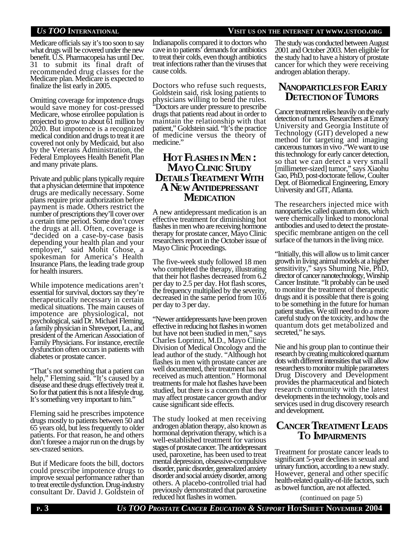#### *US TOO* **INTERNATIONAL VISIT US ON THE INTERNET AT WWW.USTOO.ORG**

Medicare officials say it's too soon to say what drugs will be covered under the new benefit. U.S. Pharmacopeia has until Dec. 31 to submit its final draft of recommended drug classes for the Medicare plan. Medicare is expected to finalize the list early in 2005.

Omitting coverage for impotence drugs would save money for cost-pressed Medicare, whose enrollee population is projected to grow to about 61 million by 2020. But impotence is a recognized medical condition and drugs to treat it are covered not only by Medicaid, but also by the Veterans Administration, the Federal Employees Health Benefit Plan and many private plans.

Private and public plans typically require that a physician determine that impotence drugs are medically necessary. Some plans require prior authorization before payment is made. Others restrict the number of prescriptions they'll cover over a certain time period. Some don't cover the drugs at all. Often, coverage is "decided on a case-by-case basis depending your health plan and your employer," said Mohit Ghose, a spokesman for America's Health Insurance Plans, the leading trade group for health insurers.

While impotence medications aren't essential for survival, doctors say they're therapeutically necessary in certain medical situations. The main causes of impotence are physiological, not psychological, said Dr. Michael Fleming, a family physician in Shreveport, La., and president of the American Association of Family Physicians. For instance, erectile dysfunction often occurs in patients with diabetes or prostate cancer.

"That's not something that a patient can help," Fleming said. "It's caused by a disease and these drugs effectively treat it. So for that patient this is not a lifestyle drug. It's something very important to him."

Fleming said he prescribes impotence drugs mostly to patients between 50 and 65 years old, but less frequently to older patients. For that reason, he and others don't foresee a major run on the drugs by sex-crazed seniors.

But if Medicare foots the bill, doctors could prescribe impotence drugs to improve sexual performance rather than to treat erectile dysfunction. Drug-industry consultant Dr. David J. Goldstein of

Indianapolis compared it to doctors who cave in to patients' demands for antibiotics to treat their colds, even though antibiotics treat infections rather than the viruses that cause colds.

Doctors who refuse such requests, Goldstein said, risk losing patients to physicians willing to bend the rules. "Doctors are under pressure to prescribe drugs that patients read about in order to maintain the relationship with that patient," Goldstein said. "It's the practice of medicine versus the theory of medicine."

## **HOT FLASHES IN MEN : MAYO CLINIC STUDY DETAILS TREATMENT WITH A NEW ANTIDEPRESSANT MEDICATION**

A new antidepressant medication is an effective treatment for diminishing hot flashes in men who are receiving hormone therapy for prostate cancer, Mayo Clinic researchers report in the October issue of Mayo Clinic Proceedings.

The five-week study followed 18 men who completed the therapy, illustrating that their hot flashes decreased from 6.2 per day to 2.5 per day. Hot flash scores, the frequency multiplied by the severity, decreased in the same period from 10.6 per day to 3 per day.

"Newer antidepressants have been proven effective in reducing hot flashes in women but have not been studied in men," says Charles Loprinzi, M.D., Mayo Clinic Division of Medical Oncology and the lead author of the study. "Although hot flashes in men with prostate cancer are well documented, their treatment has not received as much attention." Hormonal treatments for male hot flashes have been studied, but there is a concern that they may affect prostate cancer growth and/or cause significant side effects.

The study looked at men receiving androgen ablation therapy, also known as hormonal deprivation therapy, which is a well-established treatment for various stages of prostate cancer. The antidepressant used, paroxetine, has been used to treat mental depression, obsessive-compulsive disorder, panic disorder, generalized anxiety disorder and social anxiety disorder, among others. A placebo-controlled trial had previously demonstrated that paroxetine reduced hot flashes in women.

The study was conducted between August 2001 and October 2003. Men eligible for the study had to have a history of prostate cancer for which they were receiving androgen ablation therapy.

## **NANOPARTICLESFOR EARLY DETECTIONOF TUMORS**

Cancer treatment relies heavily on the early detection of tumors. Researchers at Emory University and Georgia Institute of Technology (GIT) developed a new method for targeting and imaging cancerous tumors in vivo ."We want to use this technology for early cancer detection, so that we can detect a very small [millimeter-sized] tumor," says Xiaohu Gao, PhD, post-doctorate fellow, Coulter Dept. of Biomedical Engineering, Emory University and GIT, Atlanta.

The researchers injected mice with nanoparticles called quantum dots, which were chemically linked to monoclonal antibodies and used to detect the prostatespecific membrane antigen on the cell surface of the tumors in the living mice.

"Initially, this will allow us to limit cancer growth in living animal models at a higher sensitivity," says Shuming Nie, PhD, director of cancer nanotechnology, Winship Cancer Institute. "It probably can be used to monitor the treatment of therapeutic drugs and it is possible that there is going to be something in the future for human patient studies. We still need to do a more careful study on the toxicity, and how the quantum dots get metabolized and secreted," he says.

Nie and his group plan to continue their research by creating multicolored quantum dots with different intensities that will allow researchers to monitor multiple parameters Drug Discovery and Development provides the pharmaceutical and biotech research community with the latest developments in the technology, tools and services used in drug discovery research and development.

## **CANCER TREATMENT LEADS TO IMPAIRMENTS**

Treatment for prostate cancer leads to significant 5-year declines in sexual and urinary function, according to a new study. However, general and other specific health-related quality-of-life factors, such as bowel function, are not affected.

(continued on page 5)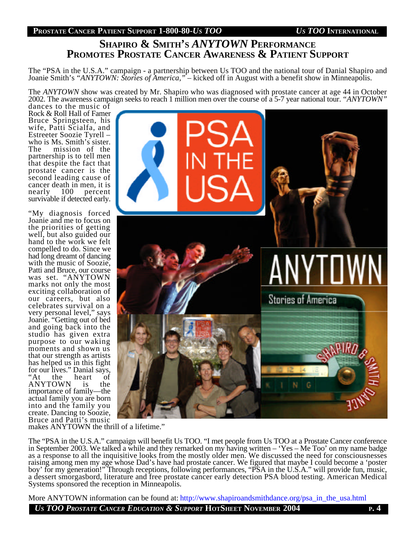## **SHAPIRO & SMITH'<sup>S</sup>** *ANYTOWN* **PERFORMANCE PROMOTES PROSTATE CANCER AWARENESS & PATIENT SUPPORT**

The "PSA in the U.S.A." campaign - a partnership between Us TOO and the national tour of Danial Shapiro and Joanie Smith's *"ANYTOWN: Stories of America,"* – kicked off in August with a benefit show in Minneapolis.

The *ANYTOWN* show was created by Mr. Shapiro who was diagnosed with prostate cancer at age 44 in October 2002. The awareness campaign seeks to reach 1 million men over the course of a 5-7 year national tour. *"ANYTOWN"*

dances to the music of Rock & Roll Hall of Famer Bruce Springsteen, his wife, Patti Scialfa, and Estreeter Soozie Tyrell – who is Ms. Smith's sister.<br>The mission of the mission of the partnership is to tell men that despite the fact that prostate cancer is the second leading cause of cancer death in men, it is<br>nearly 100 percent percent survivable if detected early.

"My diagnosis forced Joanie and me to focus on the priorities of getting well, but also guided our hand to the work we felt compelled to do. Since we had long dreamt of dancing with the music of Soozie, Patti and Bruce, our course was set. "ANYTOWN marks not only the most exciting collaboration of our careers, but also celebrates survival on a very personal level," says Joanie. "Getting out of bed and going back into the studio has given extra purpose to our waking moments and shown us that our strength as artists has helped us in this fight for our lives." Danial says, "At the heart of ANYTOWN is the importance of family—the actual family you are born into and the family you create. Dancing to Soozie, Bruce and Patti's music



makes ANYTOWN the thrill of a lifetime."

The "PSA in the U.S.A." campaign will benefit Us TOO. "I met people from Us TOO at a Prostate Cancer conference in September 2003. We talked a while and they remarked on my having written – 'Yes – Me Too' on my name badge as a response to all the inquisitive looks from the mostly older men. We discussed the need for consciousnesses raising among men my age whose Dad's have had prostate cancer. We figured that maybe I could become a 'poster boy' for my generation!" Through receptions, following performances, "PSA in the U.S.A." will provide fun, music, a dessert smorgasbord, literature and free prostate cancer early detection PSA blood testing. American Medical Systems sponsored the reception in Minneapolis.

More ANYTOWN information can be found at: http://www.shapiroandsmithdance.org/psa\_in\_the\_usa.html

*US TOO PROSTATE CANCER EDUCATION & SUPPORT* **HOTSHEET NOVEMBER 2004 <sup>P</sup>. 4**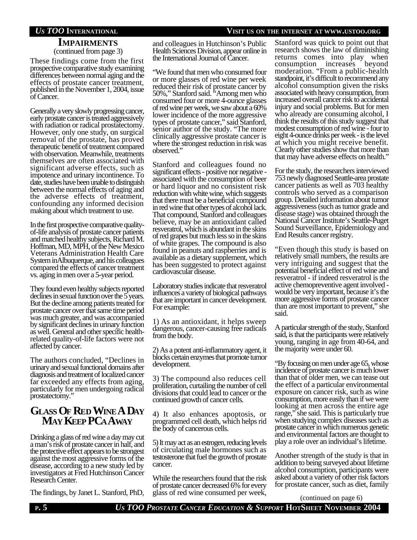#### *US TOO* **INTERNATIONAL VISIT US ON THE INTERNET AT WWW.USTOO.ORG**

#### **IMPAIRMENTS** (continued from page 3)

These findings come from the first prospective comparative study examining differences between normal aging and the effects of prostate cancer treatment, published in the November 1, 2004, issue of Cancer.

Generally a very slowly progressing cancer, early prostate cancer is treated aggressively with radiation or radical prostatectomy. However, only one study, on surgical removal of the prostate, has proved therapeutic benefit of treatment compared with observation. Meanwhile, treatments themselves are often associated with significant adverse effects, such as impotence and urinary incontinence. To date, studies have been unable to distinguish between the normal effects of aging and the adverse effects of treatment, confounding any informed decision making about which treatment to use.

In the first prospective comparative qualityof-life analysis of prostate cancer patients and matched healthy subjects, Richard M. Hoffman, MD, MPH, of the New Mexico Veterans Administration Health Care System in Albuquerque, and his colleagues compared the effects of cancer treatment vs. aging in men over a 5-year period.

They found even healthy subjects reported declines in sexual function over the 5 years. But the decline among patients treated for prostate cancer over that same time period was much greater, and was accompanied by significant declines in urinary function as well. General and other specific healthrelated quality-of-life factors were not affected by cancer.

The authors concluded, "Declines in urinary and sexual functional domains after diagnosis and treatment of localized cancer far exceeded any effects from aging, particularly for men undergoing radical prostatectomy."

## **GLASS OF RED WINE A DAY MAY KEEP PCAAWAY**

Drinking a glass of red wine a day may cut a man's risk of prostate cancer in half, and the protective effect appears to be strongest against the most aggressive forms of the disease, according to a new study led by investigators at Fred Hutchinson Cancer Research Center.

The findings, by Janet L. Stanford, PhD,

and colleagues in Hutchinson's Public Health Sciences Division, appear online in the International Journal of Cancer.

"We found that men who consumed four or more glasses of red wine per week reduced their risk of prostate cancer by 50%," Stanford said. "Among men who consumed four or more 4-ounce glasses of red wine per week, we saw about a 60% lower incidence of the more aggressive types of prostate cancer," said Stanford, senior author of the study. "The more clinically aggressive prostate cancer is where the strongest reduction in risk was observed."

Stanford and colleagues found no significant effects - positive nor negative associated with the consumption of beer or hard liquor and no consistent risk reduction with white wine, which suggests that there must be a beneficial compound in red wine that other types of alcohol lack. That compound, Stanford and colleagues believe, may be an antioxidant called resveratrol, which is abundant in the skins of red grapes but much less so in the skins of white grapes. The compound is also found in peanuts and raspberries and is available as a dietary supplement, which has been suggested to protect against cardiovascular disease.

Laboratory studies indicate that resveratrol influences a variety of biological pathways that are important in cancer development. For example:

1) As an antioxidant, it helps sweep dangerous, cancer-causing free radicals from the body.

2) As a potent anti-inflammatory agent, it blocks certain enzymes that promote tumor development.

3) The compound also reduces cell proliferation, curtailing the number of cell divisions that could lead to cancer or the continued growth of cancer cells.

4) It also enhances apoptosis, or programmed cell death, which helps rid the body of cancerous cells.

5) It may act as an estrogen, reducing levels of circulating male hormones such as testosterone that fuel the growth of prostate cancer.

While the researchers found that the risk of prostate cancer decreased 6% for every glass of red wine consumed per week,

Stanford was quick to point out that research shows the law of diminishing returns comes into play when consumption increases beyond moderation. "From a public-health standpoint, it's difficult to recommend any alcohol consumption given the risks associated with heavy consumption, from increased overall cancer risk to accidental injury and social problems. But for men who already are consuming alcohol, I think the results of this study suggest that modest consumption of red wine - four to eight 4-ounce drinks per week - is the level at which you might receive benefit. Clearly other studies show that more than that may have adverse effects on health."

For the study, the researchers interviewed 753 newly diagnosed Seattle-area prostate cancer patients as well as 703 healthy controls who served as a comparison group. Detailed information about tumor aggressiveness (such as tumor grade and disease stage) was obtained through the National Cancer Institute's Seattle-Puget Sound Surveillance, Epidemiology and End Results cancer registry.

"Even though this study is based on relatively small numbers, the results are very intriguing and suggest that the potential beneficial effect of red wine and resveratrol - if indeed resveratrol is the active chemopreventive agent involved would be very important, because it's the more aggressive forms of prostate cancer than are most important to prevent," she said.

A particular strength of the study, Stanford said, is that the participants were relatively young, ranging in age from 40-64, and the majority were under 60.

"By focusing on men under age 65, whose incidence of prostate cancer is much lower than that of older men, we can tease out the effect of a particular environmental exposure on cancer risk, such as wine consumption, more easily than if we were looking at men across the entire age range," she said. This is particularly true when studying complex diseases such as prostate cancer in which numerous genetic and environmental factors are thought to play a role over an individual's lifetime.

Another strength of the study is that in addition to being surveyed about lifetime alcohol consumption, participants were asked about a variety of other risk factors for prostate cancer, such as diet, family

(continued on page 6)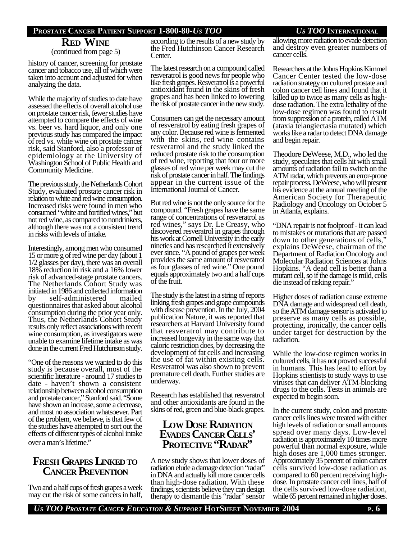# **RED WINE**

(continued from page 5)

history of cancer, screening for prostate cancer and tobacco use, all of which were taken into account and adjusted for when analyzing the data.

While the majority of studies to date have assessed the effects of overall alcohol use on prostate cancer risk, fewer studies have attempted to compare the effects of wine vs. beer vs. hard liquor, and only one previous study has compared the impact of red vs. white wine on prostate cancer risk, said Stanford, also a professor of epidemiology at the University of Washington School of Public Health and Community Medicine.

The previous study, the Netherlands Cohort Study, evaluated prostate cancer risk in relation to white and red wine consumption. Increased risks were found in men who consumed "white and fortified wines," but not red wine, as compared to nondrinkers, although there was not a consistent trend in risks with levels of intake.

Interestingly, among men who consumed 15 or more g of red wine per day (about 1 1/2 glasses per day), there was an overall 18% reduction in risk and a 16% lower risk of advanced-stage prostate cancers. The Netherlands Cohort Study was initiated in 1986 and collected information by self-administered mailed questionnaires that asked about alcohol consumption during the prior year only. Thus, the Netherlands Cohort Study results only reflect associations with recent wine consumption, as investigators were unable to examine lifetime intake as was done in the current Fred Hutchinson study.

"One of the reasons we wanted to do this study is because overall, most of the scientific literature - around 17 studies to date - haven't shown a consistent relationship between alcohol consumption and prostate cancer," Stanford said. "Some have shown an increase, some a decrease, and most no association whatsoever. Part of the problem, we believe, is that few of the studies have attempted to sort out the effects of different types of alcohol intake over a man's lifetime."

## **FRESH GRAPES LINKED TO CANCER PREVENTION**

Two and a half cups of fresh grapes a week may cut the risk of some cancers in half, according to the results of a new study by the Fred Hutchinson Cancer Research Center.

The latest research on a compound called resveratrol is good news for people who like fresh grapes. Resveratrol is a powerful antioxidant found in the skins of fresh grapes and has been linked to lowering the risk of prostate cancer in the new study.

Consumers can get the necessary amount of resveratrol by eating fresh grapes of any color. Because red wine is fermented with the skins, red wine contains resveratrol and the study linked the reduced prostate risk to the consumption of red wine, reporting that four or more glasses of red wine per week may cut the risk of prostate cancer in half. The findings appear in the current issue of the International Journal of Cancer.

But red wine is not the only source for the compound. "Fresh grapes have the same range of concentrations of resveratrol as red wines," says Dr. Le Creasy, who discovered resveratrol in grapes through his work at Cornell University in the early nineties and has researched it extensively ever since. "A pound of grapes per week provides the same amount of resveratrol as four glasses of red wine." One pound equals approximately two and a half cups of the fruit.

The study is the latest in a string of reports linking fresh grapes and grape compounds with disease prevention. In the July, 2004 publication Nature, it was reported that researchers at Harvard University found that resveratrol may contribute to increased longevity in the same way that caloric restriction does, by decreasing the development of fat cells and increasing the use of fat within existing cells. Resveratrol was also shown to prevent premature cell death. Further studies are underway.

Research has established that resveratrol and other antioxidants are found in the skins of red, green and blue-black grapes.

## **LOW DOSE RADIATION EVADES CANCER CELLS' PROTECTIVE "RADAR"**

A new study shows that lower doses of radiation elude a damage detection "radar" in DNA and actually kill more cancer cells than high-dose radiation. With these findings, scientists believe they can design therapy to dismantle this "radar" sensor allowing more radiation to evade detection and destroy even greater numbers of cancer cells.

Researchers at the Johns Hopkins Kimmel Cancer Center tested the low-dose radiation strategy on cultured prostate and colon cancer cell lines and found that it killed up to twice as many cells as highdose radiation. The extra lethality of the low-dose regimen was found to result from suppression of a protein, called ATM (ataxia telangiectasia mutated) which works like a radar to detect DNA damage and begin repair.

Theodore DeWeese, M.D., who led the study, speculates that cells hit with small amounts of radiation fail to switch on the ATM radar, which prevents an error-prone repair process. DeWeese, who will present his evidence at the annual meeting of the American Society for Therapeutic Radiology and Oncology on October 5 in Atlanta, explains.

"DNA repair is not foolproof - it can lead to mistakes or mutations that are passed down to other generations of cells," explains DeWeese, chairman of the Department of Radiation Oncology and Molecular Radiation Sciences at Johns Hopkins. "A dead cell is better than a mutant cell, so if the damage is mild, cells die instead of risking repair."

Higher doses of radiation cause extreme DNA damage and widespread cell death, so the ATM damage sensor is activated to preserve as many cells as possible, protecting, ironically, the cancer cells under target for destruction by the radiation.

While the low-dose regimen works in cultured cells, it has not proved successful in humans. This has lead to effort by Hopkins scientists to study ways to use viruses that can deliver ATM-blocking drugs to the cells. Tests in animals are expected to begin soon.

In the current study, colon and prostate cancer cells lines were treated with either high levels of radiation or small amounts spread over many days. Low-level radiation is approximately 10 times more powerful than normal exposure, while high doses are 1,000 times stronger. Approximately 35 percent of colon cancer cells survived low-dose radiation as compared to 60 percent receiving highdose. In prostate cancer cell lines, half of the cells survived low-dose radiation, while 65 percent remained in higher doses.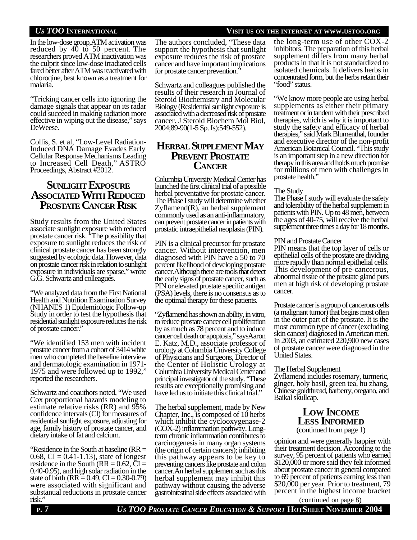malaria.

In the low-dose group, ATM activation was reduced by  $\overline{40}$  to 50 percent. The researchers proved ATM inactivation was the culprit since low-dose irradiated cells fared better after ATM was reactivated with

"Tricking cancer cells into ignoring the damage signals that appear on its radar could succeed in making radiation more effective in wiping out the disease," says DeWeese.

chloroqine, best known as a treatment for

Collis, S. et al, "Low-Level Radiation-Induced DNA Damage Evades Early Cellular Response Mechanisms Leading to Increased Cell Death," ASTRO Proceedings, Abstract #2012.

## **SUNLIGHT EXPOSURE ASSOCIATED WITH REDUCED PROSTATE CANCER RISK**

Study results from the United States associate sunlight exposure with reduced prostate cancer risk. "The possibility that exposure to sunlight reduces the risk of clinical prostate cancer has been strongly suggested by ecologic data. However, data on prostate cancer risk in relation to sunlight exposure in individuals are sparse," wrote G.G. Schwartz and colleagues.

"We analyzed data from the First National Health and Nutrition Examination Survey (NHANES 1) Epidemiologic Follow-up Study in order to test the hypothesis that residential sunlight exposure reduces the risk of prostate cancer."

"We identified 153 men with incident prostate cancer from a cohort of 3414 white men who completed the baseline interview and dermatologic examination in 1971- 1975 and were followed up to 1992," reported the researchers.

Schwartz and coauthors noted, "We used Cox proportional hazards modeling to estimate relative risks (RR) and 95% confidence intervals (Cl) for measures of residential sunlight exposure, adjusting for age, family history of prostate cancer, and dietary intake of fat and calcium.

"Residence in the South at baseline (RR = 0.68,  $CI = 0.41 - 1.13$ , state of longest residence in the South ( $RR = 0.62$ ,  $CI =$ 0.40-0.95), and high solar radiation in the state of birth (RR =  $0.49$ , CI =  $0.30$ - $0.79$ ) were associated with significant and substantial reductions in prostate cancer<br>risk." The authors concluded, "These data support the hypothesis that sunlight exposure reduces the risk of prostate cancer and have important implications for prostate cancer prevention."

Schwartz and colleagues published the results of their research in Journal of Steroid Biochemistry and Molecular Biology (Residential sunlight exposure is associated with a decreased risk of prostate cancer. J Steroid Biochem Mol Biol, 2004;89-90(1-5 Sp. Is):549-552).

### **HERBAL SUPPLEMENT MAY PREVENT PROSTATE CANCER**

Columbia University Medical Center has launched the first clinical trial of a possible herbal preventative for prostate cancer. The Phase I study will determine whether Zyflamend(R), an herbal supplement commonly used as an anti-inflammatory, can prevent prostate cancer in patients with prostatic intraepithelial neoplasia (PIN).

PIN is a clinical precursor for prostate cancer. Without intervention, men diagnosed with PIN have a 50 to 70 percent likelihood of developing prostate cancer. Although there are tools that detect the early signs of prostate cancer, such as PIN or elevated prostate specific antigen (PSA) levels, there is no consensus as to the optimal therapy for these patients.

"Zyflamend has shown an ability, in vitro, to reduce prostate cancer cell proliferation by as much as 78 percent and to induce cancer cell death or apoptosis," says Aaron E. Katz, M.D., associate professor of urology at Columbia University College of Physicians and Surgeons, Director of the Center of Holistic Urology at Columbia University Medical Center and principal investigator of the study. "These results are exceptionally promising and have led us to initiate this clinical trial."

The herbal supplement, made by New Chapter, Inc., is composed of 10 herbs which inhibit the cyclooxygenase-2 (COX-2) inflammation pathway. Longterm chronic inflammation contributes to carcinogenesis in many organ systems (the origin of certain cancers); inhibiting this pathway appears to be key to preventing cancers like prostate and colon cancer. An herbal supplement such as this herbal supplement may inhibit this pathway without causing the adverse gastrointestinal side effects associated with the long-term use of other COX-2 inhibitors. The preparation of this herbal supplement differs from many herbal products in that it is not standardized to isolated chemicals. It delivers herbs in concentrated form, but the herbs retain their "food" status.

"We know more people are using herbal supplements as either their primary treatment or in tandem with their prescribed therapies, which is why it is important to study the safety and efficacy of herbal therapies," said Mark Blumenthal, founder and executive director of the non-profit American Botanical Council. "This study is an important step in a new direction for therapy in this area and holds much promise for millions of men with challenges in prostate health."

#### The Study

The Phase I study will evaluate the safety and tolerability of the herbal supplement in patients with PIN. Up to 48 men, between the ages of 40-75, will receive the herbal supplement three times a day for 18 months.

#### PIN and Prostate Cancer

PIN means that the top layer of cells or epithelial cells of the prostate are dividing more rapidly than normal epithelial cells. This development of pre-cancerous, abnormal tissue of the prostate gland puts men at high risk of developing prostate cancer.

Prostate cancer is a group of cancerous cells (a malignant tumor) that begins most often in the outer part of the prostate. It is the most common type of cancer (excluding skin cancer) diagnosed in American men. In 2003, an estimated 220,900 new cases of prostate cancer were diagnosed in the United States.

#### The Herbal Supplement

Zyflamend includes rosemary, turmeric, ginger, holy basil, green tea, hu zhang, Chinese goldthread, barberry, oregano, and Baikal skullcap.

### **LOW INCOME LESS INFORMED** (continued from page 1)

opinion and were generally happier with their treatment decision. According to the survey, 95 percent of patients who earned \$120,000 or more said they felt informed about prostate cancer in general compared to 69 percent of patients earning less than \$20,000 per year. Prior to treatment, 79 percent in the highest income bracket

 $(continued on page 8)$ 

**<sup>P</sup>. 7** *US TOO PROSTATE CANCER EDUCATION & SUPPORT* **HOTSHEET NOVEMBER 2004**

### *US TOO* **INTERNATIONAL VISIT US ON THE INTERNET AT WWW.USTOO.ORG**